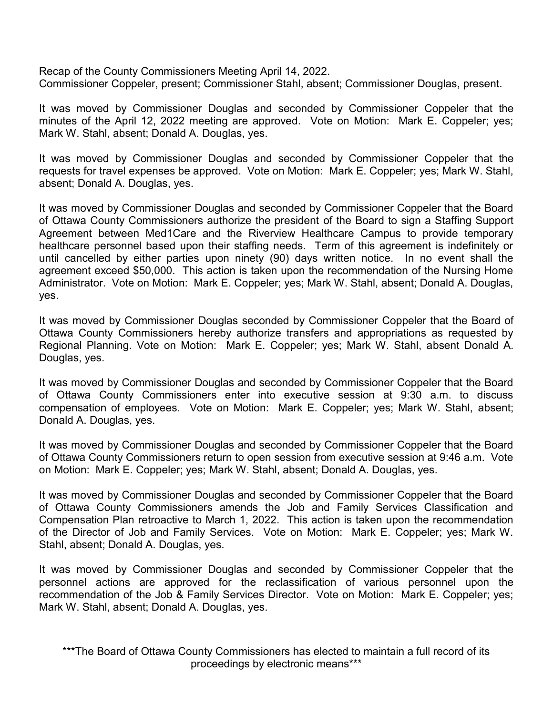Recap of the County Commissioners Meeting April 14, 2022. Commissioner Coppeler, present; Commissioner Stahl, absent; Commissioner Douglas, present.

It was moved by Commissioner Douglas and seconded by Commissioner Coppeler that the minutes of the April 12, 2022 meeting are approved. Vote on Motion: Mark E. Coppeler; yes; Mark W. Stahl, absent; Donald A. Douglas, yes.

It was moved by Commissioner Douglas and seconded by Commissioner Coppeler that the requests for travel expenses be approved. Vote on Motion: Mark E. Coppeler; yes; Mark W. Stahl, absent; Donald A. Douglas, yes.

It was moved by Commissioner Douglas and seconded by Commissioner Coppeler that the Board of Ottawa County Commissioners authorize the president of the Board to sign a Staffing Support Agreement between Med1Care and the Riverview Healthcare Campus to provide temporary healthcare personnel based upon their staffing needs. Term of this agreement is indefinitely or until cancelled by either parties upon ninety (90) days written notice. In no event shall the agreement exceed \$50,000. This action is taken upon the recommendation of the Nursing Home Administrator. Vote on Motion: Mark E. Coppeler; yes; Mark W. Stahl, absent; Donald A. Douglas, yes.

It was moved by Commissioner Douglas seconded by Commissioner Coppeler that the Board of Ottawa County Commissioners hereby authorize transfers and appropriations as requested by Regional Planning. Vote on Motion: Mark E. Coppeler; yes; Mark W. Stahl, absent Donald A. Douglas, yes.

It was moved by Commissioner Douglas and seconded by Commissioner Coppeler that the Board of Ottawa County Commissioners enter into executive session at 9:30 a.m. to discuss compensation of employees. Vote on Motion: Mark E. Coppeler; yes; Mark W. Stahl, absent; Donald A. Douglas, yes.

It was moved by Commissioner Douglas and seconded by Commissioner Coppeler that the Board of Ottawa County Commissioners return to open session from executive session at 9:46 a.m. Vote on Motion: Mark E. Coppeler; yes; Mark W. Stahl, absent; Donald A. Douglas, yes.

It was moved by Commissioner Douglas and seconded by Commissioner Coppeler that the Board of Ottawa County Commissioners amends the Job and Family Services Classification and Compensation Plan retroactive to March 1, 2022. This action is taken upon the recommendation of the Director of Job and Family Services. Vote on Motion: Mark E. Coppeler; yes; Mark W. Stahl, absent; Donald A. Douglas, yes.

It was moved by Commissioner Douglas and seconded by Commissioner Coppeler that the personnel actions are approved for the reclassification of various personnel upon the recommendation of the Job & Family Services Director. Vote on Motion: Mark E. Coppeler; yes; Mark W. Stahl, absent; Donald A. Douglas, yes.

\*\*\*The Board of Ottawa County Commissioners has elected to maintain a full record of its proceedings by electronic means\*\*\*